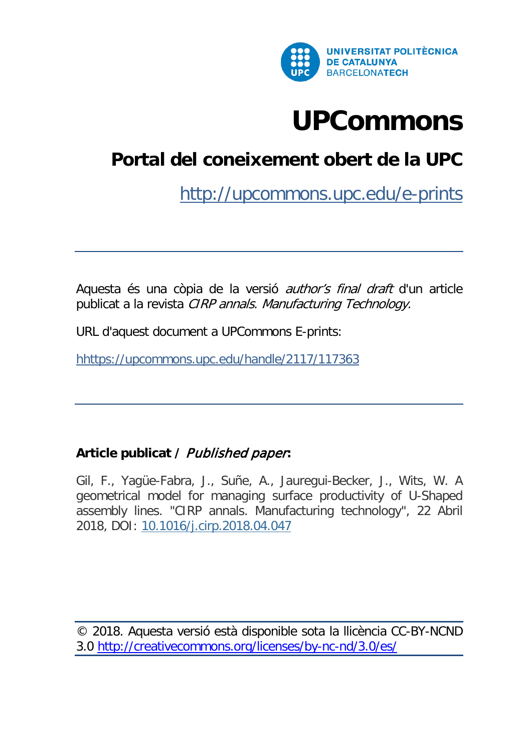

# **[UPCommons](http://upcommonsdev.upc.edu/)**

## **[Portal del coneixement obert de la UPC](http://upcommonsdev.upc.edu/)**

<http://upcommons.upc.edu/e-prints>

Aquesta és una còpia de la versió author's final draft d'un article publicat a la revista CIRP annals. Manufacturing Technology.

URL d'aquest document a UPCommons E-prints:

<hhttps://upcommons.upc.edu/handle/2117/117363>

## **Article publicat /** Published paper**:**

Gil, F., Yagüe-Fabra, J., Suñe, A., Jauregui-Becker, J., Wits, W. A geometrical model for managing surface productivity of U-Shaped assembly lines. "CIRP annals. Manufacturing technology", 22 Abril 2018, DOI: [10.1016/j.cirp.2018.04.047](https://doi.org/10.1016/j.cirp.2018.04.047)

© 2018. Aquesta versió està disponible sota la llicència CC-BY-NCND 3.0<http://creativecommons.org/licenses/by-nc-nd/3.0/es/>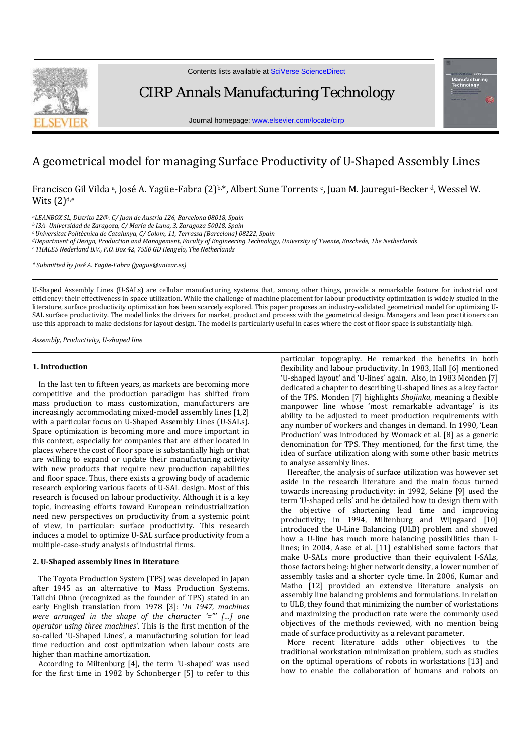

Contents lists available at [SciVerse ScienceDirect](http://www.sciencedirect.com/science/journal/00078506)

CIRP Annals Manufacturing Technology

Journal homepage[: www.elsevier.com/locate/cirp](http://www.elsevier.com/locate/cirp)

### A geometrical model for managing Surface Productivity of U-Shaped Assembly Lines

Francisco Gil Vilda a, José A. Yagüe-Fabra (2)<sup>b,\*</sup>, Albert Sune Torrents c, Juan M. Jauregui-Becker <sup>d</sup>, Wessel W. Wits  $(2)<sup>d,e</sup>$ 

*aLEANBOX SL, Distrito 22@. C/ Juan de Austria 126, Barcelona 08018, Spain*

*b I3A- Universidad de Zaragoza, C/ María de Luna, 3, Zaragoza 50018, Spain*

*c Universitat Politècnica de Catalunya, C/ Colom, 11, Terrassa (Barcelona) 08222, Spain*

*dDepartment of Design, Production and Management, Faculty of Engineering Technology, University of Twente, Enschede, The Netherlands*

*eTHALES Nederland B.V., P.O. Box 42, 7550 GD Hengelo, The Netherlands*

*\* Submitted by José A. Yagüe-Fabra (jyague@unizar.es)*

U-Shaped Assembly Lines (U-SALs) are cellular manufacturing systems that, among other things, provide a remarkable feature for industrial cost efficiency: their effectiveness in space utilization. While the challenge of machine placement for labour productivity optimization is widely studied in the literature, surface productivity optimization has been scarcely explored. This paper proposes an industry-validated geometrical model for optimizing U-SAL surface productivity. The model links the drivers for market, product and process with the geometrical design. Managers and lean practitioners can use this approach to make decisions for layout design. The model is particularly useful in cases where the cost of floor space is substantially high.

*Assembly, Productivity, U-shaped line*

#### **1. Introduction**

In the last ten to fifteen years, as markets are becoming more competitive and the production paradigm has shifted from mass production to mass customization, manufacturers are increasingly accommodating mixed-model assembly lines [1,2] with a particular focus on U-Shaped Assembly Lines (U-SALs). Space optimization is becoming more and more important in this context, especially for companies that are either located in places where the cost of floor space is substantially high or that are willing to expand or update their manufacturing activity with new products that require new production capabilities and floor space. Thus, there exists a growing body of academic research exploring various facets of U-SAL design. Most of this research is focused on labour productivity. Although it is a key topic, increasing efforts toward European reindustrialization need new perspectives on productivity from a systemic point of view, in particular: surface productivity. This research induces a model to optimize U-SAL surface productivity from a multiple-case-study analysis of industrial firms.

#### **2. U-Shaped assembly lines in literature**

The Toyota Production System (TPS) was developed in Japan after 1945 as an alternative to Mass Production Systems. Taiichi Ohno (recognized as the founder of TPS) stated in an early English translation from 1978 [3]: '*In 1947, machines were arranged in the shape of the character '="' […] one operator using three machines'*. This is the first mention of the so-called 'U-Shaped Lines', a manufacturing solution for lead time reduction and cost optimization when labour costs are higher than machine amortization.

According to Miltenburg [4], the term 'U-shaped' was used for the first time in 1982 by Schonberger [5] to refer to this

particular topography. He remarked the benefits in both flexibility and labour productivity. In 1983, Hall [6] mentioned 'U-shaped layout' and 'U-lines' again. Also, in 1983 Monden [7] dedicated a chapter to describing U-shaped lines as a key factor of the TPS. Monden [7] highlights *Shojinka*, meaning a flexible manpower line whose 'most remarkable advantage' is its ability to be adjusted to meet production requirements with any number of workers and changes in demand. In 1990, 'Lean Production' was introduced by Womack et al. [8] as a generic denomination for TPS. They mentioned, for the first time, the idea of surface utilization along with some other basic metrics to analyse assembly lines.

Hereafter, the analysis of surface utilization was however set aside in the research literature and the main focus turned towards increasing productivity: in 1992, Sekine [9] used the term 'U-shaped cells' and he detailed how to design them with the objective of shortening lead time and improving productivity; in 1994, Miltenburg and Wijngaard [10] introduced the U-Line Balancing (ULB) problem and showed how a U-line has much more balancing possibilities than Ilines; in 2004, Aase et al. [11] established some factors that make U-SALs more productive than their equivalent I-SALs, those factors being: higher network density, a lower number of assembly tasks and a shorter cycle time. In 2006, Kumar and Matho [12] provided an extensive literature analysis on assembly line balancing problems and formulations. In relation to ULB, they found that minimizing the number of workstations and maximizing the production rate were the commonly used objectives of the methods reviewed, with no mention being made of surface productivity as a relevant parameter.

More recent literature adds other objectives to the traditional workstation minimization problem, such as studies on the optimal operations of robots in workstations [13] and how to enable the collaboration of humans and robots on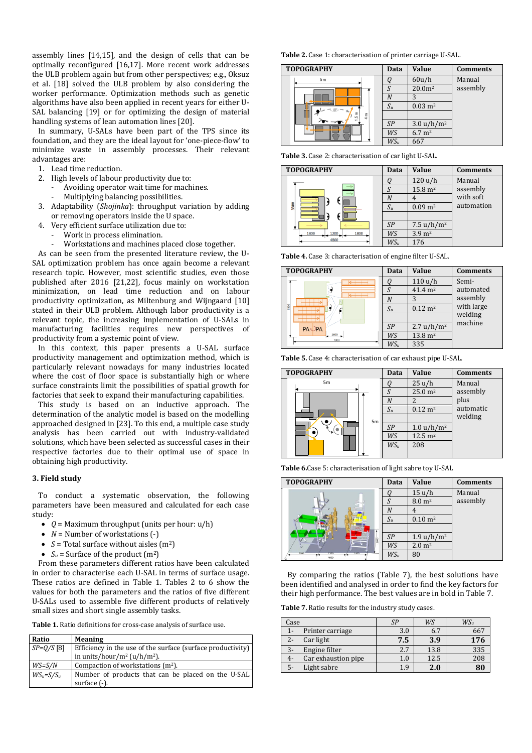assembly lines [14,15], and the design of cells that can be optimally reconfigured [16,17]. More recent work addresses the ULB problem again but from other perspectives; e.g., Oksuz et al. [18] solved the ULB problem by also considering the worker performance. Optimization methods such as genetic algorithms have also been applied in recent years for either U-SAL balancing [19] or for optimizing the design of material handling systems of lean automation lines [20].

In summary, U-SALs have been part of the TPS since its foundation, and they are the ideal layout for 'one-piece-flow' to minimize waste in assembly processes. Their relevant advantages are:

- 1. Lead time reduction.
- 2. High levels of labour productivity due to:
	- Avoiding operator wait time for machines.
	- Multiplying balancing possibilities.
- 3. Adaptability (*Shojinka*): throughput variation by adding or removing operators inside the U space.
- 4. Very efficient surface utilization due to:
	- Work in process elimination.
	- Workstations and machines placed close together.

As can be seen from the presented literature review, the U-SAL optimization problem has once again become a relevant research topic. However, most scientific studies, even those published after 2016 [21,22], focus mainly on workstation minimization, on lead time reduction and on labour productivity optimization, as Miltenburg and Wijngaard [10] stated in their ULB problem. Although labor productivity is a relevant topic, the increasing implementation of U-SALs in manufacturing facilities requires new perspectives of productivity from a systemic point of view.

In this context, this paper presents a U-SAL surface productivity management and optimization method, which is particularly relevant nowadays for many industries located where the cost of floor space is substantially high or where surface constraints limit the possibilities of spatial growth for factories that seek to expand their manufacturing capabilities.

This study is based on an inductive approach. The determination of the analytic model is based on the modelling approached designed in [23]. To this end, a multiple case study analysis has been carried out with industry-validated solutions, which have been selected as successful cases in their respective factories due to their optimal use of space in obtaining high productivity.

#### **3. Field study**

To conduct a systematic observation, the following parameters have been measured and calculated for each case study:

- $Q =$  Maximum throughput (units per hour:  $u/h$ )
- *N* = Number of workstations (-)
- $S = \text{Total surface without aisles (m}^2)$
- $S_u$  = Surface of the product  $(m^2)$

From these parameters different ratios have been calculated in order to characterise each U-SAL in terms of surface usage. These ratios are defined in Table 1. Tables 2 to 6 show the values for both the parameters and the ratios of five different U-SALs used to assemble five different products of relatively small sizes and short single assembly tasks.

**Table 1.** Ratio definitions for cross-case analysis of surface use.

| Ratio          | <b>Meaning</b>                                              |
|----------------|-------------------------------------------------------------|
| $SP=Q/S$ [8]   | Efficiency in the use of the surface (surface productivity) |
|                | in units/hour/m <sup>2</sup> (u/h/m <sup>2</sup> ).         |
| $WS = S/N$     | Compaction of workstations $(m^2)$ .                        |
| $WS_u = S/S_u$ | Number of products that can be placed on the U-SAL          |
|                | surface (-).                                                |

**Table 2.** Case 1: characterisation of printer carriage U-SAL.

| <b>TOPOGRAPHY</b> | Data   | Value                  | <b>Comments</b> |
|-------------------|--------|------------------------|-----------------|
| 5 <sub>m</sub>    |        | 60u/h                  | Manual          |
| п<br>Ε<br>Ë<br>ı5 | S      | 20.0 <sup>m2</sup>     | assembly        |
|                   | N      |                        |                 |
|                   | $S_u$  | $0.03 \; \mathrm{m}^2$ |                 |
|                   |        |                        |                 |
|                   | SP     | $3.0 u/h/m^2$          |                 |
|                   | WS     | $6.7 \; \mathrm{m}^2$  |                 |
|                   | $WS_u$ | 667                    |                 |

**Table 3.** Case 2: characterisation of car light U-SAL.



**Table 4.** Case 3: characterisation of engine filter U-SAL.



**Table 5.** Case 4: characterisation of car exhaust pipe U-SAL.



**Table 6.**Case 5: characterisation of light sabre toy U-SAL

| <b>TOPOGRAPHY</b>                    | Data           | <b>Value</b>           | <b>Comments</b> |
|--------------------------------------|----------------|------------------------|-----------------|
|                                      |                | 15 u/h                 | Manual          |
| 2000                                 | $\varsigma$    | $8.0 \text{ m}^2$      | assembly        |
|                                      | Λ              |                        |                 |
|                                      | $S_u$          | $0.10 \; \mathrm{m}^2$ |                 |
|                                      |                |                        |                 |
|                                      | $\mathcal{S}P$ | 1.9 u/h<br>$\rm /m^2$  |                 |
|                                      | WS             | $2.0 \; \mathrm{m}^2$  |                 |
| 1400<br>1700<br>1400<br>واده<br>4000 | $WS_u$         | 80                     |                 |

By comparing the ratios (Table 7), the best solutions have been identified and analysed in order to find the key factors for their high performance. The best values are in bold in Table 7.

**Table 7.** Ratio results for the industry study cases.

| Case  |                     | SF  | WS   | $WS_u$ |
|-------|---------------------|-----|------|--------|
| $1 -$ | Printer carriage    | 3.0 | 6.7  | 66     |
| $2 -$ | Car light           | 7.5 | 3.9  | 176    |
| $3-$  | Engine filter       | 2.7 | 13.8 | 335    |
| 4-    | Car exhaustion pipe | 1.0 | 12.5 | 208    |
| 5-    | Light sabre         | 1.9 | 2.0  |        |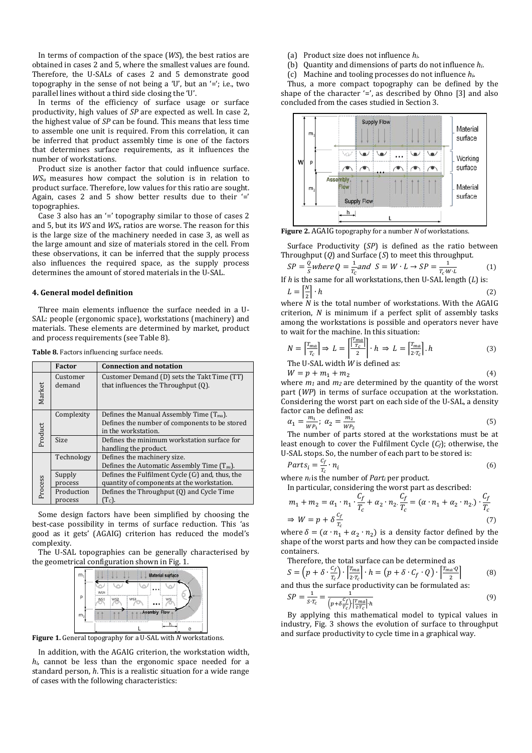In terms of compaction of the space (*WS*), the best ratios are obtained in cases 2 and 5, where the smallest values are found. Therefore, the U-SALs of cases 2 and 5 demonstrate good topography in the sense of not being a 'U', but an '='; i.e., two parallel lines without a third side closing the 'U'.

In terms of the efficiency of surface usage or surface productivity, high values of *SP* are expected as well. In case 2, the highest value of *SP* can be found. This means that less time to assemble one unit is required. From this correlation, it can be inferred that product assembly time is one of the factors that determines surface requirements, as it influences the number of workstations.

Product size is another factor that could influence surface. *WSu* measures how compact the solution is in relation to product surface. Therefore, low values for this ratio are sought. Again, cases 2 and 5 show better results due to their '=' topographies.

Case 3 also has an '=' topography similar to those of cases 2 and 5, but its *WS* and *WSu* ratios are worse. The reason for this is the large size of the machinery needed in case 3, as well as the large amount and size of materials stored in the cell. From these observations, it can be inferred that the supply process also influences the required space, as the supply process determines the amount of stored materials in the U-SAL.

#### **4. General model definition**

Three main elements influence the surface needed in a U-SAL: people (ergonomic space), workstations (machinery) and materials. These elements are determined by market, product and process requirements (see Table 8).

| <b>Table 8.</b> Factors influencing surface needs. |  |  |
|----------------------------------------------------|--|--|
|----------------------------------------------------|--|--|

|         | <b>Factor</b>         | <b>Connection and notation</b>                                                                                        |
|---------|-----------------------|-----------------------------------------------------------------------------------------------------------------------|
| Market  | Customer<br>demand    | Customer Demand (D) sets the Takt Time (TT)<br>that influences the Throughput (Q).                                    |
| Product | Complexity            | Defines the Manual Assembly Time $(T_{ma})$ .<br>Defines the number of components to be stored<br>in the workstation. |
|         | <b>Size</b>           | Defines the minimum workstation surface for<br>handling the product.                                                  |
|         | Technology            | Defines the machinery size.<br>Defines the Automatic Assembly Time $(T_{\text{au}})$ .                                |
| Process | Supply<br>process     | Defines the Fulfilment Cycle $(C_f)$ and, thus, the<br>quantity of components at the workstation.                     |
|         | Production<br>process | Defines the Throughput (0) and Cycle Time<br>(Tc).                                                                    |

Some design factors have been simplified by choosing the best-case possibility in terms of surface reduction. This 'as good as it gets' (AGAIG) criterion has reduced the model's complexity.

The U-SAL topographies can be generally characterised by the geometrical configuration shown in Fig. 1.



**Figure 1.** General topography for a U-SAL with *N* workstations.

In addition, with the AGAIG criterion, the workstation width, *hi*, cannot be less than the ergonomic space needed for a standard person, *h*. This is a realistic situation for a wide range of cases with the following characteristics:

- (a) Product size does not influence *hi*.
- (b) Quantity and dimensions of parts do not influence *hi*.
- (c) Machine and tooling processes do not influence *hi.*

Thus, a more compact topography can be defined by the shape of the character  $=$ ', as described by Ohno [3] and also concluded from the cases studied in Section 3.



**Figure 2.** AGAIG topography for a number *N* of workstations.

Surface Productivity (*SP*) is defined as the ratio between Throughput (*Q*) and Surface (*S*) to meet this throughput.

$$
SP = \frac{Q}{s}where Q = \frac{1}{T_c} and S = W \cdot L \rightarrow SP = \frac{1}{T_c \cdot W \cdot L}
$$
 (1)  
if h is the same for all workstations, then ILSA = length (1) is:

If *h* is the same for all workstations, then U-SAL length (*L*) is:  
\n
$$
L = \left[\frac{N}{2}\right] \cdot h
$$
\n(2)

2 where *N* is the total number of workstations. With the AGAIG criterion, *N* is minimum if a perfect split of assembly tasks among the workstations is possible and operators never have to wait for the machine. In this situation:

$$
N = \left[\frac{T_{ma}}{T_c}\right] \Rightarrow L = \left[\frac{T_{ma}}{2}\right] \cdot h \Rightarrow L = \left[\frac{T_{ma}}{2 \cdot T_c}\right] \cdot h
$$
 (3)

The U-SAL width *W* is defined as:

 $W = p + m_1 + m_2$  (4)

where  $m_1$  and  $m_2$  are determined by the quantity of the worst part (*WP*) in terms of surface occupation at the workstation. Considering the worst part on each side of the U-SAL, a density factor can be defined as:

$$
\alpha_1 = \frac{m_1}{WP_1}; \ \alpha_2 = \frac{m_2}{WP_2} \tag{5}
$$

The number of parts stored at the workstations must be at least enough to cover the Fulfilment Cycle (*Cf*); otherwise, the U-SAL stops. So, the number of each part to be stored is:

$$
Parts_i = \frac{c_f}{r_c} \cdot n_i \tag{6}
$$

where  $n_i$  is the number of *Part<sub>i</sub>* per product.

In particular, considering the worst part as described:

$$
m_1 + m_2 = \alpha_1 \cdot n_1 \cdot \frac{C_f}{T_c} + \alpha_2 \cdot n_2 \cdot \frac{C_f}{T_c} = (\alpha \cdot n_1 + \alpha_2 \cdot n_2) \cdot \frac{C_f}{T_c}
$$
  
\n
$$
\Rightarrow W = p + \delta \frac{C_f}{T_c}
$$
 (7)

where  $\delta = (\alpha \cdot n_1 + \alpha_2 \cdot n_2)$  is a density factor defined by the shape of the worst parts and how they can be compacted inside containers.

Therefore, the total surface can be determined as

$$
S = \left(p + \delta \cdot \frac{c_f}{r_c}\right) \cdot \left[\frac{r_{ma}}{2 \cdot r_c}\right] \cdot h = \left(p + \delta \cdot C_f \cdot Q\right) \cdot \left[\frac{r_{ma} \cdot Q}{2}\right] \tag{8}
$$

and thus the surface productivity can be formulated as:  $SI$ 

$$
P = \frac{1}{s \cdot T_c} = \frac{1}{\left(p + \delta \frac{c_f}{T_c}\right) \left[\frac{T_{ma}}{2 \cdot T_c}\right] \cdot h} \tag{9}
$$

By applying this mathematical model to typical values in industry, Fig. 3 shows the evolution of surface to throughput and surface productivity to cycle time in a graphical way.